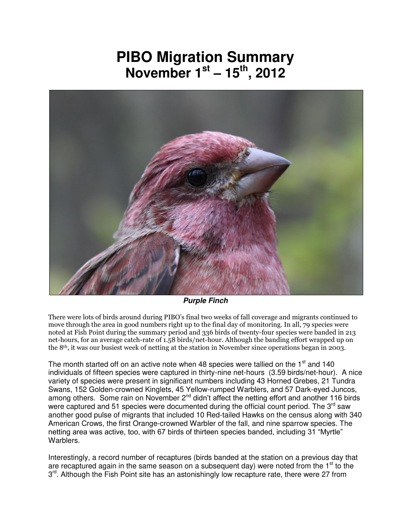## **PIBO Migration Summary November 1st – 15th, 2012**



*Purple Finch* 

There were lots of birds around during PIBO's final two weeks of fall coverage and migrants continued to move through the area in good numbers right up to the final day of monitoring. In all, 79 species were noted at Fish Point during the summary period and 336 birds of twenty-four species were banded in 213 net-hours, for an average catch-rate of 1.58 birds/net-hour. Although the banding effort wrapped up on the 8th, it was our busiest week of netting at the station in November since operations began in 2003.

The month started off on an active note when 48 species were tallied on the 1<sup>st</sup> and 140 individuals of fifteen species were captured in thirty-nine net-hours (3.59 birds/net-hour). A nice variety of species were present in significant numbers including 43 Horned Grebes, 21 Tundra Swans, 152 Golden-crowned Kinglets, 45 Yellow-rumped Warblers, and 57 Dark-eyed Juncos, among others. Some rain on November  $2^{nd}$  didn't affect the netting effort and another 116 birds were captured and 51 species were documented during the official count period. The  $3<sup>rd</sup>$  saw another good pulse of migrants that included 10 Red-tailed Hawks on the census along with 340 American Crows, the first Orange-crowned Warbler of the fall, and nine sparrow species. The netting area was active, too, with 67 birds of thirteen species banded, including 31 "Myrtle" Warblers.

Interestingly, a record number of recaptures (birds banded at the station on a previous day that are recaptured again in the same season on a subsequent day) were noted from the  $1<sup>st</sup>$  to the 3<sup>rd</sup>. Although the Fish Point site has an astonishingly low recapture rate, there were 27 from